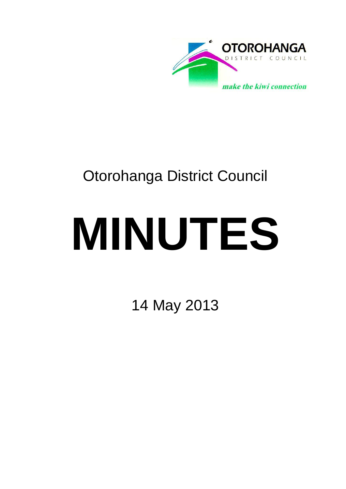

## Otorohanga District Council

# **MINUTES**

14 May 2013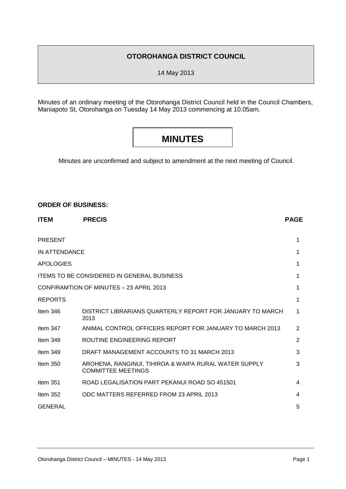#### **OTOROHANGA DISTRICT COUNCIL**

14 May 2013

Minutes of an ordinary meeting of the Otorohanga District Council held in the Council Chambers, Maniapoto St, Otorohanga on Tuesday 14 May 2013 commencing at 10.05am.

### **MINUTES**

Minutes are unconfirmed and subject to amendment at the next meeting of Council.

#### **ORDER OF BUSINESS:**

| <b>ITEM</b>      | <b>PRECIS</b>                                                               | <b>PAGE</b>    |
|------------------|-----------------------------------------------------------------------------|----------------|
| <b>PRESENT</b>   |                                                                             | 1              |
| IN ATTENDANCE    |                                                                             | 1              |
| <b>APOLOGIES</b> |                                                                             | 1              |
|                  | <b>ITEMS TO BE CONSIDERED IN GENERAL BUSINESS</b>                           | 1              |
|                  | CONFIRAMTION OF MINUTES - 23 APRIL 2013                                     | 1              |
| <b>REPORTS</b>   |                                                                             | 1              |
| Item $346$       | DISTRICT LIBRARIANS QUARTERLY REPORT FOR JANUARY TO MARCH<br>2013           | 1              |
| Item $347$       | ANIMAL CONTROL OFFICERS REPORT FOR JANUARY TO MARCH 2013                    | $\overline{2}$ |
| Item $348$       | ROUTINE ENGINEERING REPORT                                                  | $\overline{2}$ |
| Item $349$       | DRAFT MANAGEMENT ACCOUNTS TO 31 MARCH 2013                                  | 3              |
| Item $350$       | AROHENA, RANGINUI, TIHIROA & WAIPA RURAL WATER SUPPLY<br>COMMITTEE MEETINGS | 3              |
| Item $351$       | ROAD LEGALISATION PART PEKANUI ROAD SO 451501                               | 4              |
| Item $352$       | ODC MATTERS REFERRED FROM 23 APRIL 2013                                     | 4              |
| <b>GENERAL</b>   |                                                                             | 5              |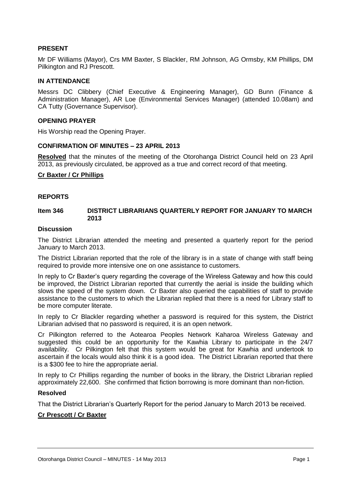#### **PRESENT**

Mr DF Williams (Mayor), Crs MM Baxter, S Blackler, RM Johnson, AG Ormsby, KM Phillips, DM Pilkington and RJ Prescott.

#### **IN ATTENDANCE**

Messrs DC Clibbery (Chief Executive & Engineering Manager), GD Bunn (Finance & Administration Manager), AR Loe (Environmental Services Manager) (attended 10.08am) and CA Tutty (Governance Supervisor).

#### **OPENING PRAYER**

His Worship read the Opening Prayer.

#### **CONFIRMATION OF MINUTES – 23 APRIL 2013**

**Resolved** that the minutes of the meeting of the Otorohanga District Council held on 23 April 2013, as previously circulated, be approved as a true and correct record of that meeting.

#### **Cr Baxter / Cr Phillips**

#### **REPORTS**

#### **Item 346 DISTRICT LIBRARIANS QUARTERLY REPORT FOR JANUARY TO MARCH 2013**

#### **Discussion**

The District Librarian attended the meeting and presented a quarterly report for the period January to March 2013.

The District Librarian reported that the role of the library is in a state of change with staff being required to provide more intensive one on one assistance to customers.

In reply to Cr Baxter's query regarding the coverage of the Wireless Gateway and how this could be improved, the District Librarian reported that currently the aerial is inside the building which slows the speed of the system down. Cr Baxter also queried the capabilities of staff to provide assistance to the customers to which the Librarian replied that there is a need for Library staff to be more computer literate.

In reply to Cr Blackler regarding whether a password is required for this system, the District Librarian advised that no password is required, it is an open network.

Cr Pilkington referred to the Aotearoa Peoples Network Kaharoa Wireless Gateway and suggested this could be an opportunity for the Kawhia Library to participate in the 24/7 availability. Cr Pilkington felt that this system would be great for Kawhia and undertook to ascertain if the locals would also think it is a good idea. The District Librarian reported that there is a \$300 fee to hire the appropriate aerial.

In reply to Cr Phillips regarding the number of books in the library, the District Librarian replied approximately 22,600. She confirmed that fiction borrowing is more dominant than non-fiction.

#### **Resolved**

That the District Librarian's Quarterly Report for the period January to March 2013 be received.

#### **Cr Prescott / Cr Baxter**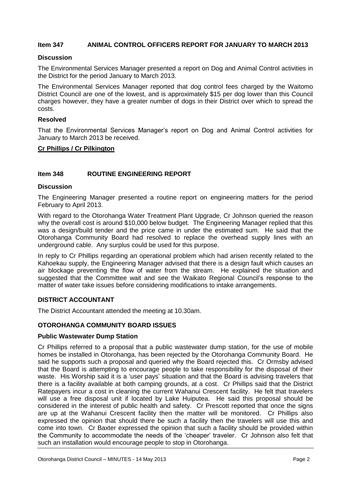#### **Item 347 ANIMAL CONTROL OFFICERS REPORT FOR JANUARY TO MARCH 2013**

#### **Discussion**

The Environmental Services Manager presented a report on Dog and Animal Control activities in the District for the period January to March 2013.

The Environmental Services Manager reported that dog control fees charged by the Waitomo District Council are one of the lowest, and is approximately \$15 per dog lower than this Council charges however, they have a greater number of dogs in their District over which to spread the costs.

#### **Resolved**

That the Environmental Services Manager's report on Dog and Animal Control activities for January to March 2013 be received.

#### **Cr Phillips / Cr Pilkington**

#### **Item 348 ROUTINE ENGINEERING REPORT**

#### **Discussion**

The Engineering Manager presented a routine report on engineering matters for the period February to April 2013.

With regard to the Otorohanga Water Treatment Plant Upgrade, Cr Johnson queried the reason why the overall cost is around \$10,000 below budget. The Engineering Manager replied that this was a design/build tender and the price came in under the estimated sum. He said that the Otorohanga Community Board had resolved to replace the overhead supply lines with an underground cable. Any surplus could be used for this purpose.

In reply to Cr Phillips regarding an operational problem which had arisen recently related to the Kahoekau supply, the Engineering Manager advised that there is a design fault which causes an air blockage preventing the flow of water from the stream. He explained the situation and suggested that the Committee wait and see the Waikato Regional Council's response to the matter of water take issues before considering modifications to intake arrangements.

#### **DISTRICT ACCOUNTANT**

The District Accountant attended the meeting at 10.30am.

#### **OTOROHANGA COMMUNITY BOARD ISSUES**

#### **Public Wastewater Dump Station**

Cr Phillips referred to a proposal that a public wastewater dump station, for the use of mobile homes be installed in Otorohanga, has been rejected by the Otorohanga Community Board. He said he supports such a proposal and queried why the Board rejected this. Cr Ormsby advised that the Board is attempting to encourage people to take responsibility for the disposal of their waste. His Worship said it is a 'user pays' situation and that the Board is advising travelers that there is a facility available at both camping grounds, at a cost. Cr Phillips said that the District Ratepayers incur a cost in cleaning the current Wahanui Crescent facility. He felt that travelers will use a free disposal unit if located by Lake Huiputea. He said this proposal should be considered in the interest of public health and safety. Cr Prescott reported that once the signs are up at the Wahanui Crescent facility then the matter will be monitored. Cr Phillips also expressed the opinion that should there be such a facility then the travelers will use this and come into town. Cr Baxter expressed the opinion that such a facility should be provided within the Community to accommodate the needs of the 'cheaper' traveler. Cr Johnson also felt that such an installation would encourage people to stop in Otorohanga.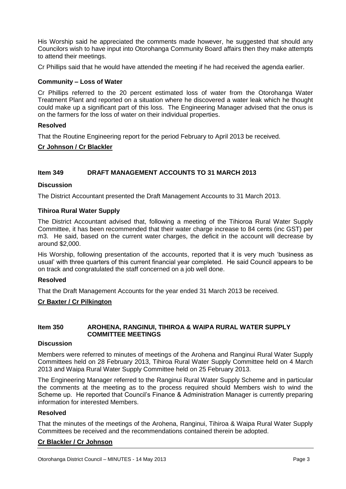His Worship said he appreciated the comments made however, he suggested that should any Councilors wish to have input into Otorohanga Community Board affairs then they make attempts to attend their meetings.

Cr Phillips said that he would have attended the meeting if he had received the agenda earlier.

#### **Community – Loss of Water**

Cr Phillips referred to the 20 percent estimated loss of water from the Otorohanga Water Treatment Plant and reported on a situation where he discovered a water leak which he thought could make up a significant part of this loss. The Engineering Manager advised that the onus is on the farmers for the loss of water on their individual properties.

#### **Resolved**

That the Routine Engineering report for the period February to April 2013 be received.

#### **Cr Johnson / Cr Blackler**

#### **Item 349 DRAFT MANAGEMENT ACCOUNTS TO 31 MARCH 2013**

#### **Discussion**

The District Accountant presented the Draft Management Accounts to 31 March 2013.

#### **Tihiroa Rural Water Supply**

The District Accountant advised that, following a meeting of the Tihioroa Rural Water Supply Committee, it has been recommended that their water charge increase to 84 cents (inc GST) per m3. He said, based on the current water charges, the deficit in the account will decrease by around \$2,000.

His Worship, following presentation of the accounts, reported that it is very much 'business as usual' with three quarters of this current financial year completed. He said Council appears to be on track and congratulated the staff concerned on a job well done.

#### **Resolved**

That the Draft Management Accounts for the year ended 31 March 2013 be received.

#### **Cr Baxter / Cr Pilkington**

#### **Item 350 AROHENA, RANGINUI, TIHIROA & WAIPA RURAL WATER SUPPLY COMMITTEE MEETINGS**

#### **Discussion**

Members were referred to minutes of meetings of the Arohena and Ranginui Rural Water Supply Committees held on 28 February 2013, Tihiroa Rural Water Supply Committee held on 4 March 2013 and Waipa Rural Water Supply Committee held on 25 February 2013.

The Engineering Manager referred to the Ranginui Rural Water Supply Scheme and in particular the comments at the meeting as to the process required should Members wish to wind the Scheme up. He reported that Council's Finance & Administration Manager is currently preparing information for interested Members.

#### **Resolved**

That the minutes of the meetings of the Arohena, Ranginui, Tihiroa & Waipa Rural Water Supply Committees be received and the recommendations contained therein be adopted.

#### **Cr Blackler / Cr Johnson**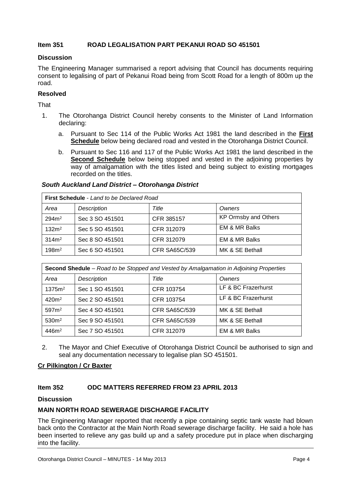#### **Item 351 ROAD LEGALISATION PART PEKANUI ROAD SO 451501**

#### **Discussion**

The Engineering Manager summarised a report advising that Council has documents requiring consent to legalising of part of Pekanui Road being from Scott Road for a length of 800m up the road.

#### **Resolved**

That

- 1. The Otorohanga District Council hereby consents to the Minister of Land Information declaring:
	- a. Pursuant to Sec 114 of the Public Works Act 1981 the land described in the **First Schedule** below being declared road and vested in the Otorohanga District Council.
	- b. Pursuant to Sec 116 and 117 of the Public Works Act 1981 the land described in the **Second Schedule** below being stopped and vested in the adjoining properties by way of amalgamation with the titles listed and being subject to existing mortgages recorded on the titles.

#### *South Auckland Land District – Otorohanga District*

| First Schedule - Land to be Declared Road |                    |               |                             |  |  |  |
|-------------------------------------------|--------------------|---------------|-----------------------------|--|--|--|
| Area                                      | <b>Description</b> | Title         | Owners                      |  |  |  |
| 294m <sup>2</sup>                         | Sec 3 SO 451501    | CFR 385157    | <b>KP Ormsby and Others</b> |  |  |  |
| 132m <sup>2</sup>                         | Sec 5 SO 451501    | CFR 312079    | <b>EM &amp; MR Balks</b>    |  |  |  |
| 314m <sup>2</sup>                         | Sec 8 SO 451501    | CFR 312079    | EM & MR Balks               |  |  |  |
| 198m <sup>2</sup>                         | Sec 6 SO 451501    | CFR SA65C/539 | MK & SE Bethall             |  |  |  |

| Second Shedule - Road to be Stopped and Vested by Amalgamation in Adjoining Properties |                    |               |                          |  |  |  |
|----------------------------------------------------------------------------------------|--------------------|---------------|--------------------------|--|--|--|
| Area                                                                                   | <b>Description</b> | Title         | Owners                   |  |  |  |
| 1375m <sup>2</sup>                                                                     | Sec 1 SO 451501    | CFR 103754    | LF & BC Frazerhurst      |  |  |  |
| 420m <sup>2</sup>                                                                      | Sec 2 SO 451501    | CFR 103754    | LF & BC Frazerhurst      |  |  |  |
| 597m <sup>2</sup>                                                                      | Sec 4 SO 451501    | CFR SA65C/539 | MK & SE Bethall          |  |  |  |
| 530 <sup>m²</sup>                                                                      | Sec 9 SO 451501    | CFR SA65C/539 | MK & SE Bethall          |  |  |  |
| 446m <sup>2</sup>                                                                      | Sec 7 SO 451501    | CFR 312079    | <b>EM &amp; MR Balks</b> |  |  |  |

2. The Mayor and Chief Executive of Otorohanga District Council be authorised to sign and seal any documentation necessary to legalise plan SO 451501.

#### **Cr Pilkington / Cr Baxter**

#### **Item 352 ODC MATTERS REFERRED FROM 23 APRIL 2013**

#### **Discussion**

#### **MAIN NORTH ROAD SEWERAGE DISCHARGE FACILITY**

The Engineering Manager reported that recently a pipe containing septic tank waste had blown back onto the Contractor at the Main North Road sewerage discharge facility. He said a hole has been inserted to relieve any gas build up and a safety procedure put in place when discharging into the facility.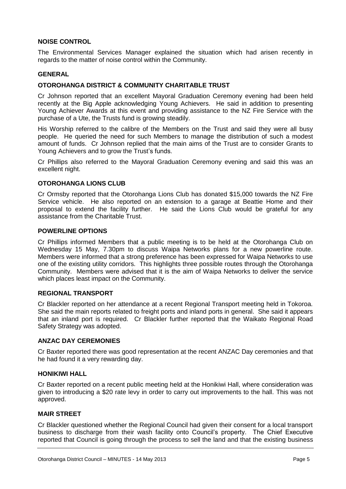#### **NOISE CONTROL**

The Environmental Services Manager explained the situation which had arisen recently in regards to the matter of noise control within the Community.

#### **GENERAL**

#### **OTOROHANGA DISTRICT & COMMUNITY CHARITABLE TRUST**

Cr Johnson reported that an excellent Mayoral Graduation Ceremony evening had been held recently at the Big Apple acknowledging Young Achievers. He said in addition to presenting Young Achiever Awards at this event and providing assistance to the NZ Fire Service with the purchase of a Ute, the Trusts fund is growing steadily.

His Worship referred to the calibre of the Members on the Trust and said they were all busy people. He queried the need for such Members to manage the distribution of such a modest amount of funds. Cr Johnson replied that the main aims of the Trust are to consider Grants to Young Achievers and to grow the Trust's funds.

Cr Phillips also referred to the Mayoral Graduation Ceremony evening and said this was an excellent night.

#### **OTOROHANGA LIONS CLUB**

Cr Ormsby reported that the Otorohanga Lions Club has donated \$15,000 towards the NZ Fire Service vehicle. He also reported on an extension to a garage at Beattie Home and their proposal to extend the facility further. He said the Lions Club would be grateful for any assistance from the Charitable Trust.

#### **POWERLINE OPTIONS**

Cr Phillips informed Members that a public meeting is to be held at the Otorohanga Club on Wednesday 15 May, 7.30pm to discuss Waipa Networks plans for a new powerline route. Members were informed that a strong preference has been expressed for Waipa Networks to use one of the existing utility corridors. This highlights three possible routes through the Otorohanga Community. Members were advised that it is the aim of Waipa Networks to deliver the service which places least impact on the Community.

#### **REGIONAL TRANSPORT**

Cr Blackler reported on her attendance at a recent Regional Transport meeting held in Tokoroa. She said the main reports related to freight ports and inland ports in general. She said it appears that an inland port is required. Cr Blackler further reported that the Waikato Regional Road Safety Strategy was adopted.

#### **ANZAC DAY CEREMONIES**

Cr Baxter reported there was good representation at the recent ANZAC Day ceremonies and that he had found it a very rewarding day.

#### **HONIKIWI HALL**

Cr Baxter reported on a recent public meeting held at the Honikiwi Hall, where consideration was given to introducing a \$20 rate levy in order to carry out improvements to the hall. This was not approved.

#### **MAIR STREET**

Cr Blackler questioned whether the Regional Council had given their consent for a local transport business to discharge from their wash facility onto Council's property. The Chief Executive reported that Council is going through the process to sell the land and that the existing business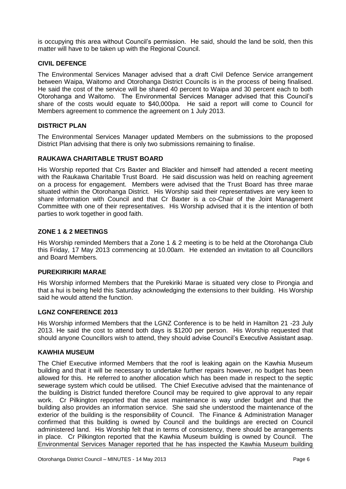is occupying this area without Council's permission. He said, should the land be sold, then this matter will have to be taken up with the Regional Council.

#### **CIVIL DEFENCE**

The Environmental Services Manager advised that a draft Civil Defence Service arrangement between Waipa, Waitomo and Otorohanga District Councils is in the process of being finalised. He said the cost of the service will be shared 40 percent to Waipa and 30 percent each to both Otorohanga and Waitomo. The Environmental Services Manager advised that this Council's share of the costs would equate to \$40,000pa. He said a report will come to Council for Members agreement to commence the agreement on 1 July 2013.

#### **DISTRICT PLAN**

The Environmental Services Manager updated Members on the submissions to the proposed District Plan advising that there is only two submissions remaining to finalise.

#### **RAUKAWA CHARITABLE TRUST BOARD**

His Worship reported that Crs Baxter and Blackler and himself had attended a recent meeting with the Raukawa Charitable Trust Board. He said discussion was held on reaching agreement on a process for engagement. Members were advised that the Trust Board has three marae situated within the Otorohanga District. His Worship said their representatives are very keen to share information with Council and that Cr Baxter is a co-Chair of the Joint Management Committee with one of their representatives. His Worship advised that it is the intention of both parties to work together in good faith.

#### **ZONE 1 & 2 MEETINGS**

His Worship reminded Members that a Zone 1 & 2 meeting is to be held at the Otorohanga Club this Friday, 17 May 2013 commencing at 10.00am. He extended an invitation to all Councillors and Board Members.

#### **PUREKIRIKIRI MARAE**

His Worship informed Members that the Purekiriki Marae is situated very close to Pirongia and that a hui is being held this Saturday acknowledging the extensions to their building. His Worship said he would attend the function.

#### **LGNZ CONFERENCE 2013**

His Worship informed Members that the LGNZ Conference is to be held in Hamilton 21 -23 July 2013. He said the cost to attend both days is \$1200 per person. His Worship requested that should anyone Councillors wish to attend, they should advise Council's Executive Assistant asap.

#### **KAWHIA MUSEUM**

The Chief Executive informed Members that the roof is leaking again on the Kawhia Museum building and that it will be necessary to undertake further repairs however, no budget has been allowed for this. He referred to another allocation which has been made in respect to the septic sewerage system which could be utilised. The Chief Executive advised that the maintenance of the building is District funded therefore Council may be required to give approval to any repair work. Cr Pilkington reported that the asset maintenance is way under budget and that the building also provides an information service. She said she understood the maintenance of the exterior of the building is the responsibility of Council. The Finance & Administration Manager confirmed that this building is owned by Council and the buildings are erected on Council administered land. His Worship felt that in terms of consistency, there should be arrangements in place. Cr Pilkington reported that the Kawhia Museum building is owned by Council. The Environmental Services Manager reported that he has inspected the Kawhia Museum building